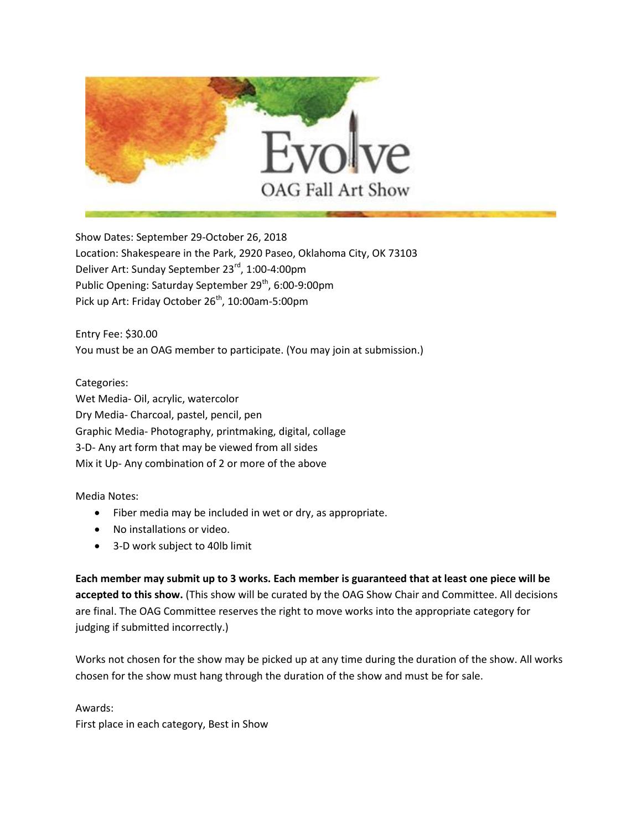

Show Dates: September 29-October 26, 2018 Location: Shakespeare in the Park, 2920 Paseo, Oklahoma City, OK 73103 Deliver Art: Sunday September 23<sup>rd</sup>, 1:00-4:00pm Public Opening: Saturday September 29<sup>th</sup>, 6:00-9:00pm Pick up Art: Friday October 26<sup>th</sup>, 10:00am-5:00pm

Entry Fee: \$30.00 You must be an OAG member to participate. (You may join at submission.)

Categories: Wet Media- Oil, acrylic, watercolor Dry Media- Charcoal, pastel, pencil, pen Graphic Media- Photography, printmaking, digital, collage 3-D- Any art form that may be viewed from all sides Mix it Up- Any combination of 2 or more of the above

Media Notes:

- Fiber media may be included in wet or dry, as appropriate.
- No installations or video.
- 3-D work subject to 40lb limit

**Each member may submit up to 3 works. Each member is guaranteed that at least one piece will be accepted to this show.** (This show will be curated by the OAG Show Chair and Committee. All decisions are final. The OAG Committee reserves the right to move works into the appropriate category for judging if submitted incorrectly.)

Works not chosen for the show may be picked up at any time during the duration of the show. All works chosen for the show must hang through the duration of the show and must be for sale.

## Awards:

First place in each category, Best in Show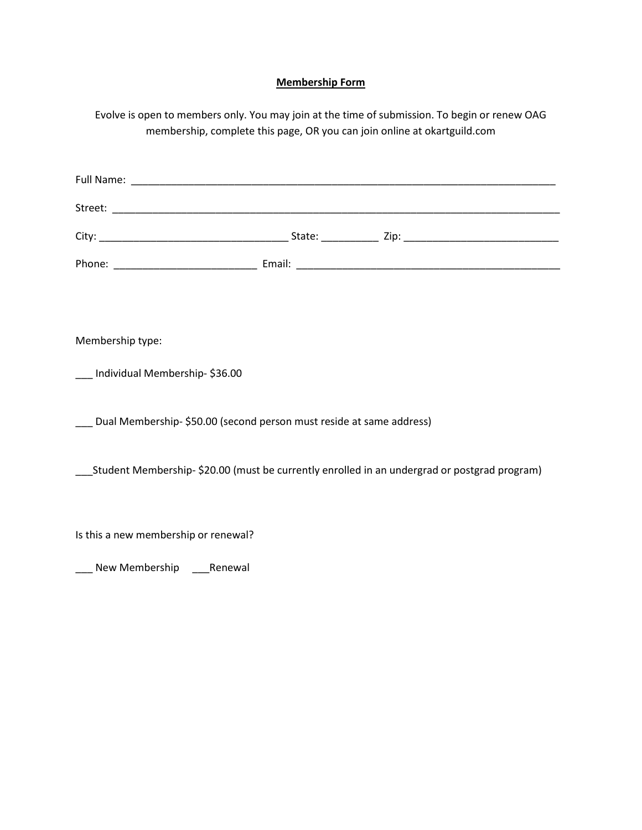## **Membership Form**

Evolve is open to members only. You may join at the time of submission. To begin or renew OAG membership, complete this page, OR you can join online at okartguild.com

| Membership type:                                                                             |  |  |  |  |
|----------------------------------------------------------------------------------------------|--|--|--|--|
| Individual Membership-\$36.00                                                                |  |  |  |  |
| Dual Membership-\$50.00 (second person must reside at same address)                          |  |  |  |  |
| Student Membership- \$20.00 (must be currently enrolled in an undergrad or postgrad program) |  |  |  |  |
| Is this a new membership or renewal?                                                         |  |  |  |  |

\_\_\_ New Membership \_\_\_\_Renewal